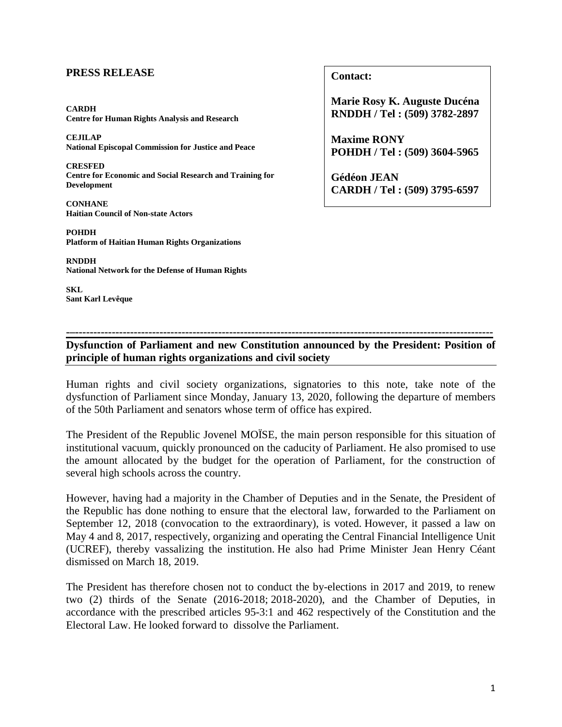## **PRESS RELEASE**

**CARDH Centre for Human Rights Analysis and Research**

**CEJILAP National Episcopal Commission for Justice and Peace**

**CRESFED Centre for Economic and Social Research and Training for Development**

**CONHANE Haitian Council of Non-state Actors**

**POHDH Platform of Haitian Human Rights Organizations**

**RNDDH National Network for the Defense of Human Rights**

**SKL Sant Karl Levêque** **Contact:**

**Marie Rosy K. Auguste Ducéna RNDDH / Tel : (509) 3782-2897**

**Maxime RONY POHDH / Tel : (509) 3604-5965**

**Gédéon JEAN CARDH / Tel : (509) 3795-6597**

## **-–------------------------------------------------------------------------------------------------------------------ Dysfunction of Parliament and new Constitution announced by the President: Position of principle of human rights organizations and civil society**

Human rights and civil society organizations, signatories to this note, take note of the dysfunction of Parliament since Monday, January 13, 2020, following the departure of members of the 50th Parliament and senators whose term of office has expired.

The President of the Republic Jovenel MOÏSE, the main person responsible for this situation of institutional vacuum, quickly pronounced on the caducity of Parliament. He also promised to use the amount allocated by the budget for the operation of Parliament, for the construction of several high schools across the country.

However, having had a majority in the Chamber of Deputies and in the Senate, the President of the Republic has done nothing to ensure that the electoral law, forwarded to the Parliament on September 12, 2018 (convocation to the extraordinary), is voted. However, it passed a law on May 4 and 8, 2017, respectively, organizing and operating the Central Financial Intelligence Unit (UCREF), thereby vassalizing the institution. He also had Prime Minister Jean Henry Céant dismissed on March 18, 2019.

The President has therefore chosen not to conduct the by-elections in 2017 and 2019, to renew two (2) thirds of the Senate (2016-2018; 2018-2020), and the Chamber of Deputies, in accordance with the prescribed articles 95-3:1 and 462 respectively of the Constitution and the Electoral Law. He looked forward to dissolve the Parliament.